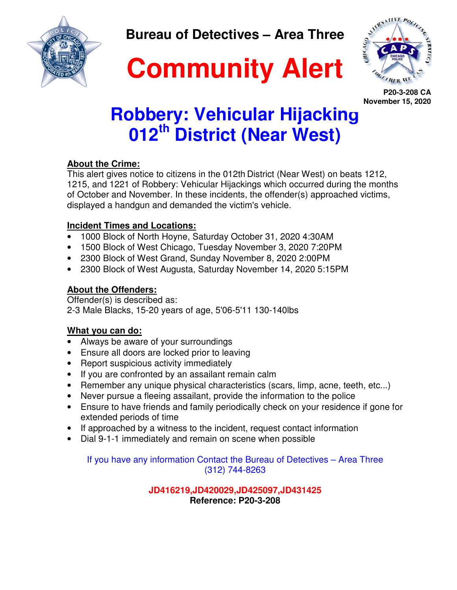**Bureau of Detectives – Area Three** 





**P20-3-208 CA November 15, 2020**

## **Robbery: Vehicular Hijacking 012th District (Near West)**

## **About the Crime:**

This alert gives notice to citizens in the 012th District (Near West) on beats 1212, 1215, and 1221 of Robbery: Vehicular Hijackings which occurred during the months of October and November. In these incidents, the offender(s) approached victims, displayed a handgun and demanded the victim's vehicle.

## **Incident Times and Locations:**

- 1000 Block of North Hoyne, Saturday October 31, 2020 4:30AM
- 1500 Block of West Chicago, Tuesday November 3, 2020 7:20PM
- 2300 Block of West Grand, Sunday November 8, 2020 2:00PM
- 2300 Block of West Augusta, Saturday November 14, 2020 5:15PM

## **About the Offenders:**

Offender(s) is described as: 2-3 Male Blacks, 15-20 years of age, 5'06-5'11 130-140lbs

## **What you can do:**

- Always be aware of your surroundings
- Ensure all doors are locked prior to leaving
- Report suspicious activity immediately
- If you are confronted by an assailant remain calm
- Remember any unique physical characteristics (scars, limp, acne, teeth, etc...)
- Never pursue a fleeing assailant, provide the information to the police
- Ensure to have friends and family periodically check on your residence if gone for extended periods of time
- If approached by a witness to the incident, request contact information
- Dial 9-1-1 immediately and remain on scene when possible

If you have any information Contact the Bureau of Detectives – Area Three (312) 744-8263

> **JD416219,JD420029,JD425097,JD431425 Reference: P20-3-208**